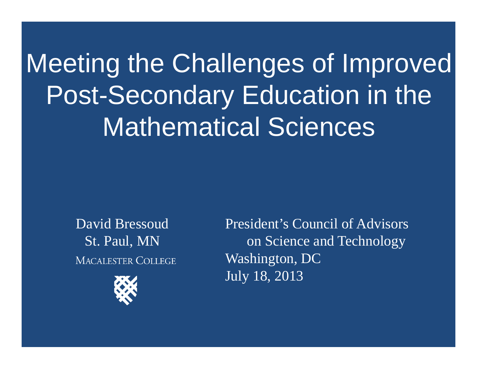## Meeting the Challenges of Improved Post-Secondary Education in the Mathematical Sciences

David BressoudSt. Paul, MN **MACALESTER COLLEGE** 



President's Council of Advisors on Science and Technology Washington, DC July 18, 2013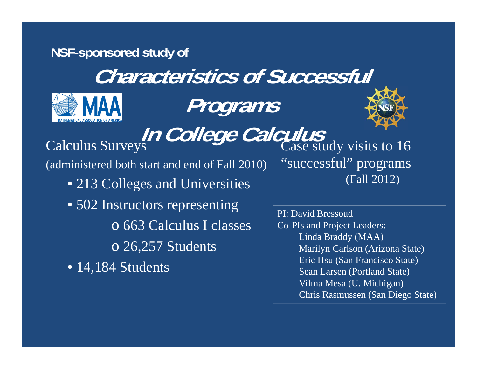## **NSF-sponsored study of Characteristics of Successful Programs In College Calculus**<br>Calculus Surveys Calculus Case study visits to 16 (administered both start and end of Fall 2010) • 213 Colleges and Universities • 502 Instructors representing o 663 Calculus I classes "successful" programs (Fall 2012) PI: David BressoudCo-PIs and Project Leaders:

o 26,257 Students

• 14,184 Students

Linda Braddy (MAA) Marilyn Carlson (Arizona State) Eric Hsu (San Francisco State) Sean Larsen (Portland State) Vilma Mesa (U. Michigan) Chris Rasmussen (San Diego State)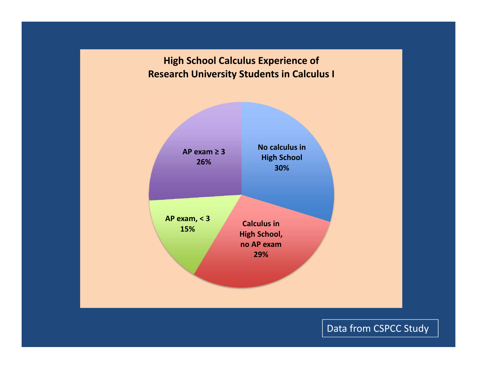



Data from CSPCC Study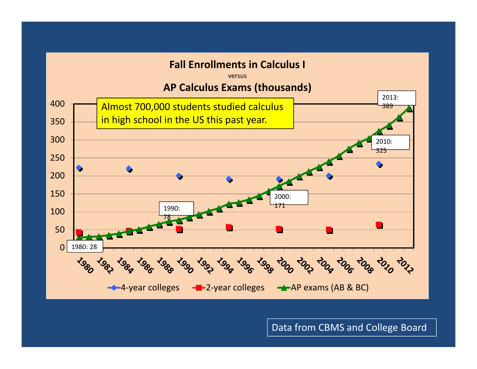

Data from CBMS and College Board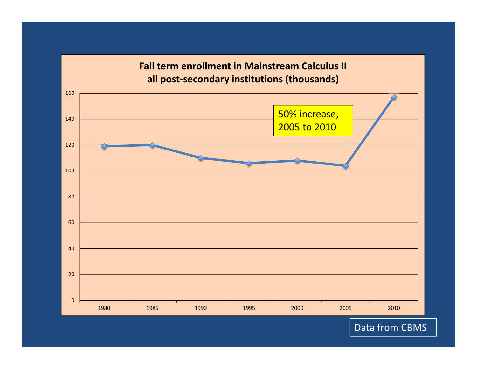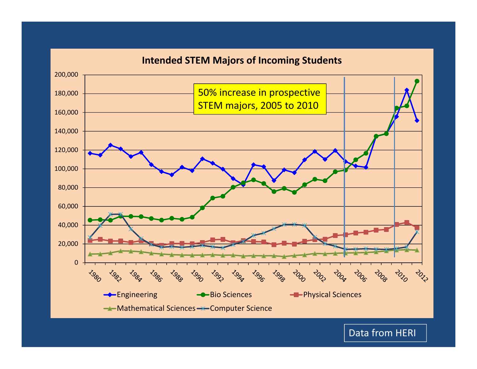

Data from HERI